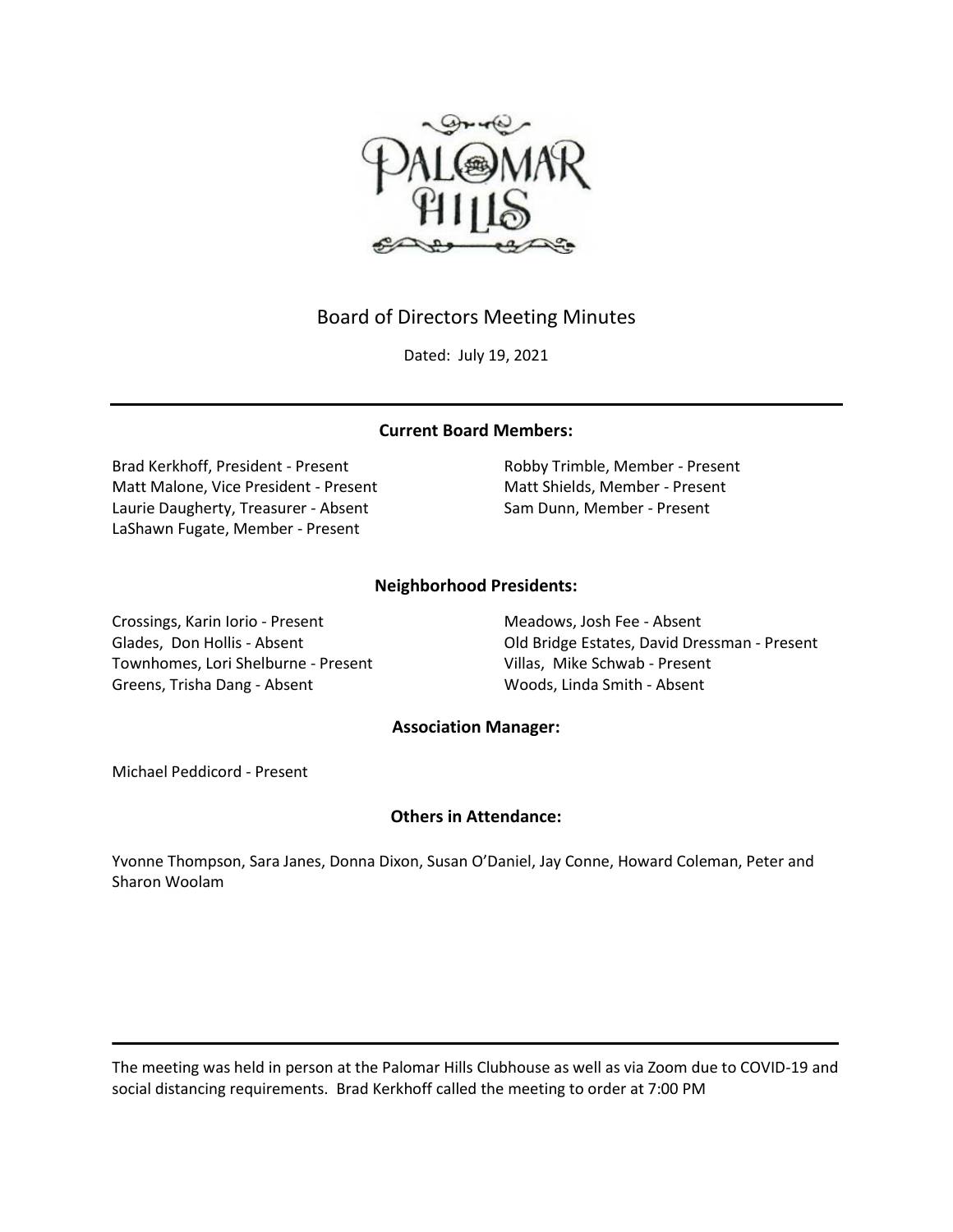

# Board of Directors Meeting Minutes

Dated: July 19, 2021

# **Current Board Members:**

Brad Kerkhoff, President - Present Robby Trimble, Member - Present Matt Malone, Vice President - Present Matt Shields, Member - Present Laurie Daugherty, Treasurer - Absent Sam Dunn, Member - Present LaShawn Fugate, Member - Present

# **Neighborhood Presidents:**

Crossings, Karin Iorio - Present Meadows, Josh Fee - Absent Townhomes, Lori Shelburne - Present Villas, Mike Schwab - Present Greens, Trisha Dang - Absent Woods, Linda Smith - Absent

Glades, Don Hollis - Absent Old Bridge Estates, David Dressman - Present

### **Association Manager:**

Michael Peddicord - Present

# **Others in Attendance:**

Yvonne Thompson, Sara Janes, Donna Dixon, Susan O'Daniel, Jay Conne, Howard Coleman, Peter and Sharon Woolam

The meeting was held in person at the Palomar Hills Clubhouse as well as via Zoom due to COVID-19 and social distancing requirements. Brad Kerkhoff called the meeting to order at 7:00 PM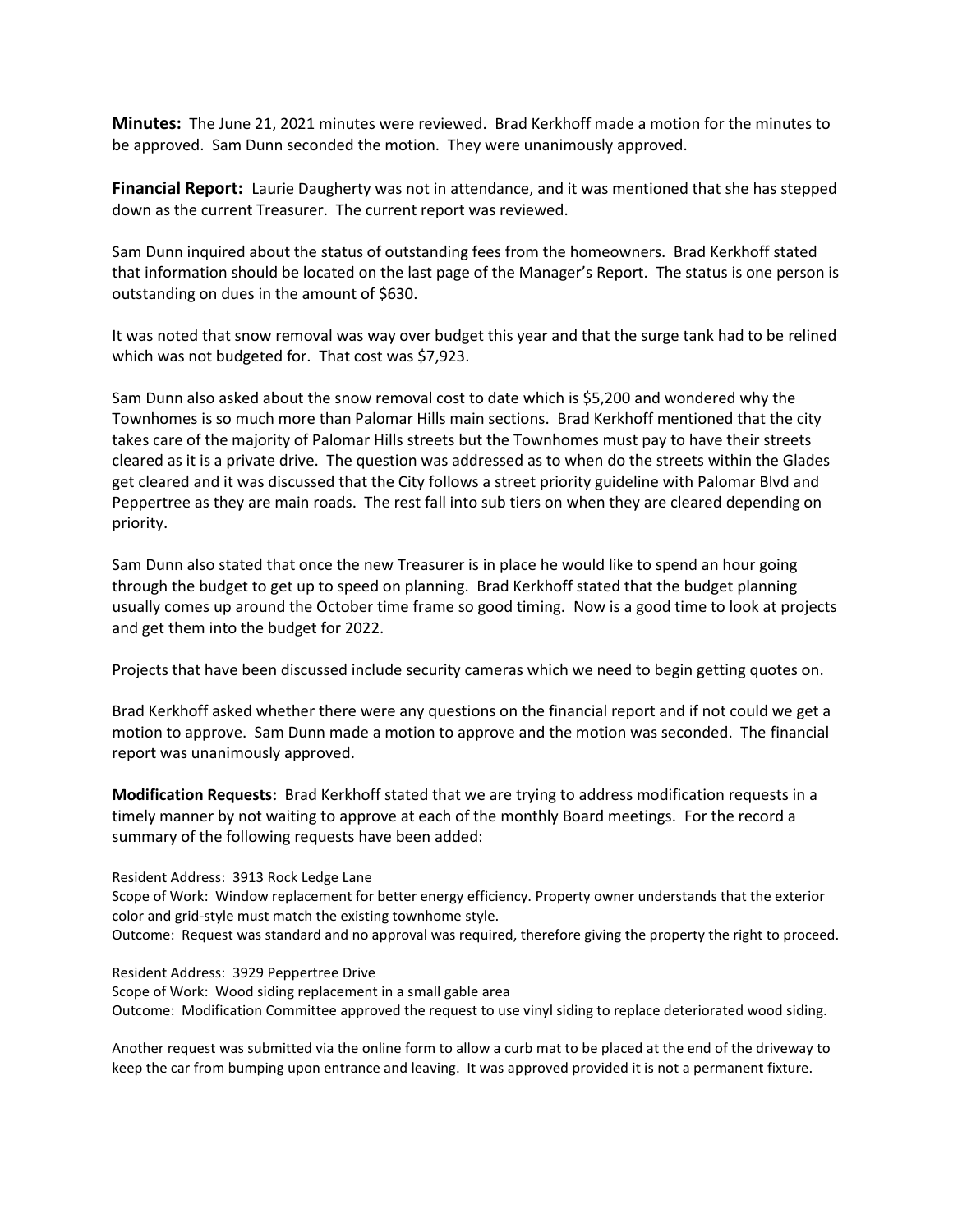**Minutes:** The June 21, 2021 minutes were reviewed. Brad Kerkhoff made a motion for the minutes to be approved. Sam Dunn seconded the motion. They were unanimously approved.

**Financial Report:** Laurie Daugherty was not in attendance, and it was mentioned that she has stepped down as the current Treasurer. The current report was reviewed.

Sam Dunn inquired about the status of outstanding fees from the homeowners. Brad Kerkhoff stated that information should be located on the last page of the Manager's Report. The status is one person is outstanding on dues in the amount of \$630.

It was noted that snow removal was way over budget this year and that the surge tank had to be relined which was not budgeted for. That cost was \$7,923.

Sam Dunn also asked about the snow removal cost to date which is \$5,200 and wondered why the Townhomes is so much more than Palomar Hills main sections. Brad Kerkhoff mentioned that the city takes care of the majority of Palomar Hills streets but the Townhomes must pay to have their streets cleared as it is a private drive. The question was addressed as to when do the streets within the Glades get cleared and it was discussed that the City follows a street priority guideline with Palomar Blvd and Peppertree as they are main roads. The rest fall into sub tiers on when they are cleared depending on priority.

Sam Dunn also stated that once the new Treasurer is in place he would like to spend an hour going through the budget to get up to speed on planning. Brad Kerkhoff stated that the budget planning usually comes up around the October time frame so good timing. Now is a good time to look at projects and get them into the budget for 2022.

Projects that have been discussed include security cameras which we need to begin getting quotes on.

Brad Kerkhoff asked whether there were any questions on the financial report and if not could we get a motion to approve. Sam Dunn made a motion to approve and the motion was seconded. The financial report was unanimously approved.

**Modification Requests:** Brad Kerkhoff stated that we are trying to address modification requests in a timely manner by not waiting to approve at each of the monthly Board meetings. For the record a summary of the following requests have been added:

Resident Address: 3913 Rock Ledge Lane

Scope of Work: Window replacement for better energy efficiency. Property owner understands that the exterior color and grid-style must match the existing townhome style.

Outcome: Request was standard and no approval was required, therefore giving the property the right to proceed.

Resident Address: 3929 Peppertree Drive

Scope of Work: Wood siding replacement in a small gable area

Outcome: Modification Committee approved the request to use vinyl siding to replace deteriorated wood siding.

Another request was submitted via the online form to allow a curb mat to be placed at the end of the driveway to keep the car from bumping upon entrance and leaving. It was approved provided it is not a permanent fixture.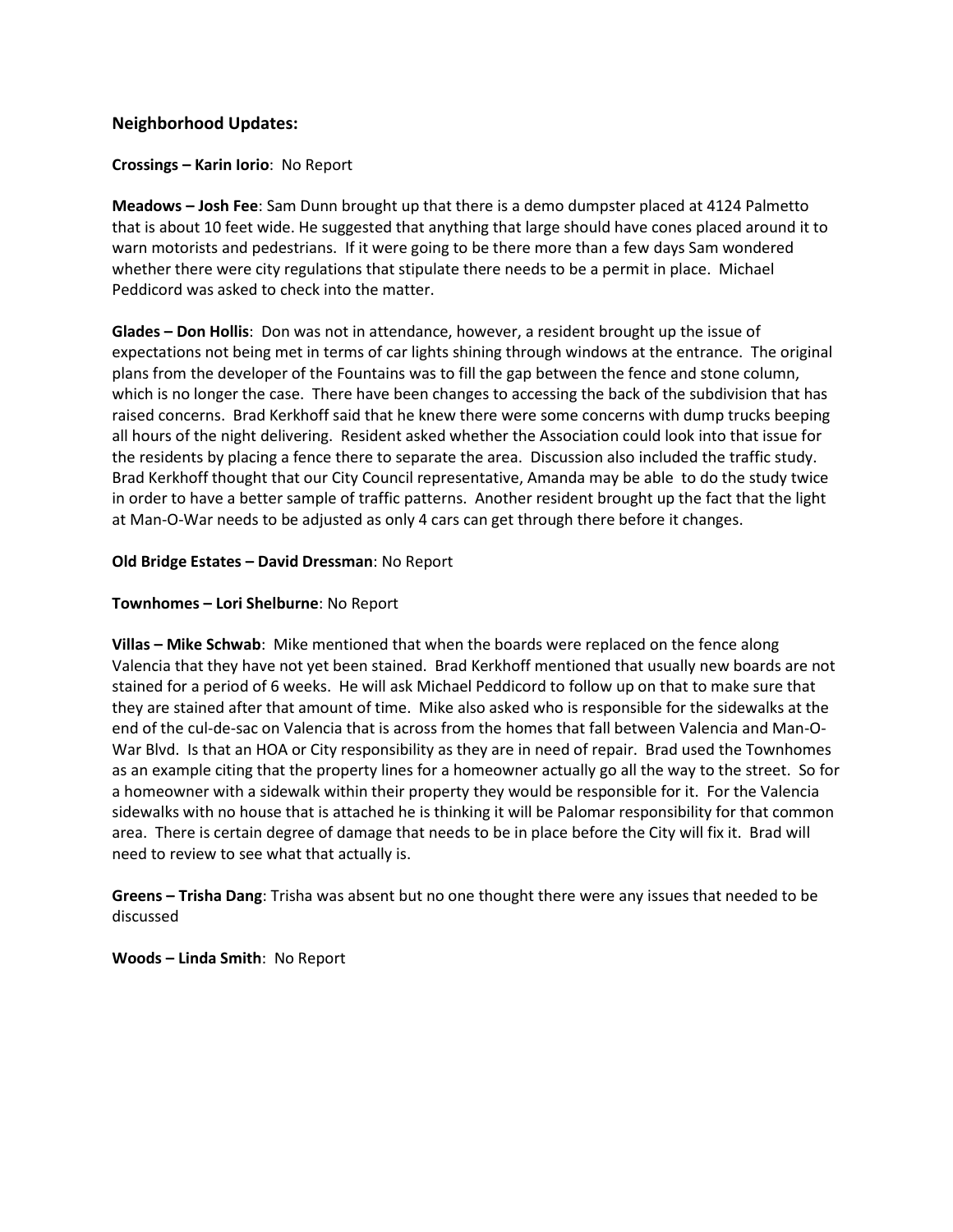# **Neighborhood Updates:**

### **Crossings – Karin Iorio**: No Report

**Meadows – Josh Fee**: Sam Dunn brought up that there is a demo dumpster placed at 4124 Palmetto that is about 10 feet wide. He suggested that anything that large should have cones placed around it to warn motorists and pedestrians. If it were going to be there more than a few days Sam wondered whether there were city regulations that stipulate there needs to be a permit in place. Michael Peddicord was asked to check into the matter.

**Glades – Don Hollis**: Don was not in attendance, however, a resident brought up the issue of expectations not being met in terms of car lights shining through windows at the entrance. The original plans from the developer of the Fountains was to fill the gap between the fence and stone column, which is no longer the case. There have been changes to accessing the back of the subdivision that has raised concerns. Brad Kerkhoff said that he knew there were some concerns with dump trucks beeping all hours of the night delivering. Resident asked whether the Association could look into that issue for the residents by placing a fence there to separate the area. Discussion also included the traffic study. Brad Kerkhoff thought that our City Council representative, Amanda may be able to do the study twice in order to have a better sample of traffic patterns. Another resident brought up the fact that the light at Man-O-War needs to be adjusted as only 4 cars can get through there before it changes.

#### **Old Bridge Estates – David Dressman**: No Report

#### **Townhomes – Lori Shelburne**: No Report

**Villas – Mike Schwab**: Mike mentioned that when the boards were replaced on the fence along Valencia that they have not yet been stained. Brad Kerkhoff mentioned that usually new boards are not stained for a period of 6 weeks. He will ask Michael Peddicord to follow up on that to make sure that they are stained after that amount of time. Mike also asked who is responsible for the sidewalks at the end of the cul-de-sac on Valencia that is across from the homes that fall between Valencia and Man-O-War Blvd. Is that an HOA or City responsibility as they are in need of repair. Brad used the Townhomes as an example citing that the property lines for a homeowner actually go all the way to the street. So for a homeowner with a sidewalk within their property they would be responsible for it. For the Valencia sidewalks with no house that is attached he is thinking it will be Palomar responsibility for that common area. There is certain degree of damage that needs to be in place before the City will fix it. Brad will need to review to see what that actually is.

**Greens – Trisha Dang**: Trisha was absent but no one thought there were any issues that needed to be discussed

**Woods – Linda Smith**: No Report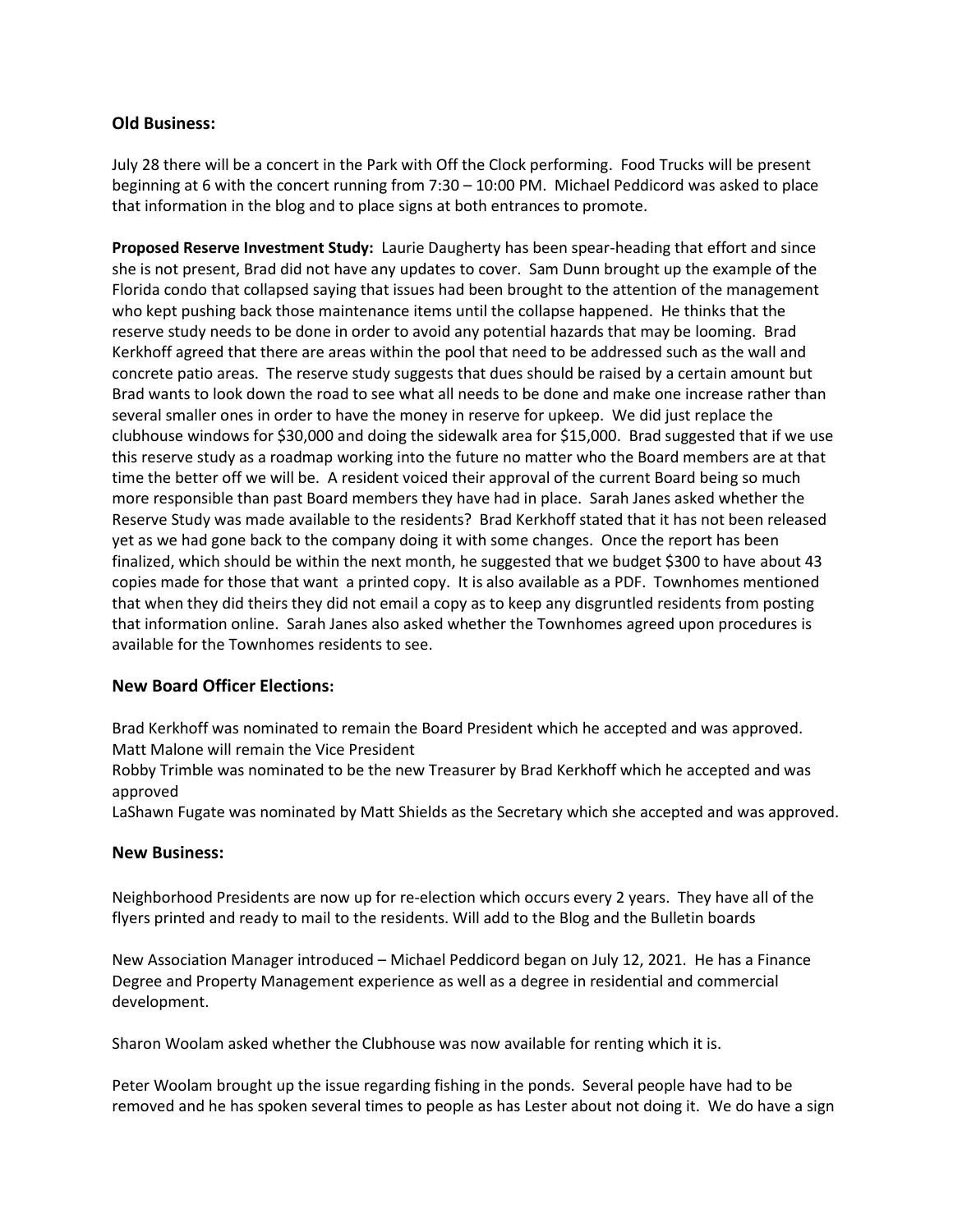# **Old Business:**

July 28 there will be a concert in the Park with Off the Clock performing. Food Trucks will be present beginning at 6 with the concert running from 7:30 – 10:00 PM. Michael Peddicord was asked to place that information in the blog and to place signs at both entrances to promote.

**Proposed Reserve Investment Study:** Laurie Daugherty has been spear-heading that effort and since she is not present, Brad did not have any updates to cover. Sam Dunn brought up the example of the Florida condo that collapsed saying that issues had been brought to the attention of the management who kept pushing back those maintenance items until the collapse happened. He thinks that the reserve study needs to be done in order to avoid any potential hazards that may be looming. Brad Kerkhoff agreed that there are areas within the pool that need to be addressed such as the wall and concrete patio areas. The reserve study suggests that dues should be raised by a certain amount but Brad wants to look down the road to see what all needs to be done and make one increase rather than several smaller ones in order to have the money in reserve for upkeep. We did just replace the clubhouse windows for \$30,000 and doing the sidewalk area for \$15,000. Brad suggested that if we use this reserve study as a roadmap working into the future no matter who the Board members are at that time the better off we will be. A resident voiced their approval of the current Board being so much more responsible than past Board members they have had in place. Sarah Janes asked whether the Reserve Study was made available to the residents? Brad Kerkhoff stated that it has not been released yet as we had gone back to the company doing it with some changes. Once the report has been finalized, which should be within the next month, he suggested that we budget \$300 to have about 43 copies made for those that want a printed copy. It is also available as a PDF. Townhomes mentioned that when they did theirs they did not email a copy as to keep any disgruntled residents from posting that information online. Sarah Janes also asked whether the Townhomes agreed upon procedures is available for the Townhomes residents to see.

# **New Board Officer Elections:**

Brad Kerkhoff was nominated to remain the Board President which he accepted and was approved. Matt Malone will remain the Vice President

Robby Trimble was nominated to be the new Treasurer by Brad Kerkhoff which he accepted and was approved

LaShawn Fugate was nominated by Matt Shields as the Secretary which she accepted and was approved.

### **New Business:**

Neighborhood Presidents are now up for re-election which occurs every 2 years. They have all of the flyers printed and ready to mail to the residents. Will add to the Blog and the Bulletin boards

New Association Manager introduced – Michael Peddicord began on July 12, 2021. He has a Finance Degree and Property Management experience as well as a degree in residential and commercial development.

Sharon Woolam asked whether the Clubhouse was now available for renting which it is.

Peter Woolam brought up the issue regarding fishing in the ponds. Several people have had to be removed and he has spoken several times to people as has Lester about not doing it. We do have a sign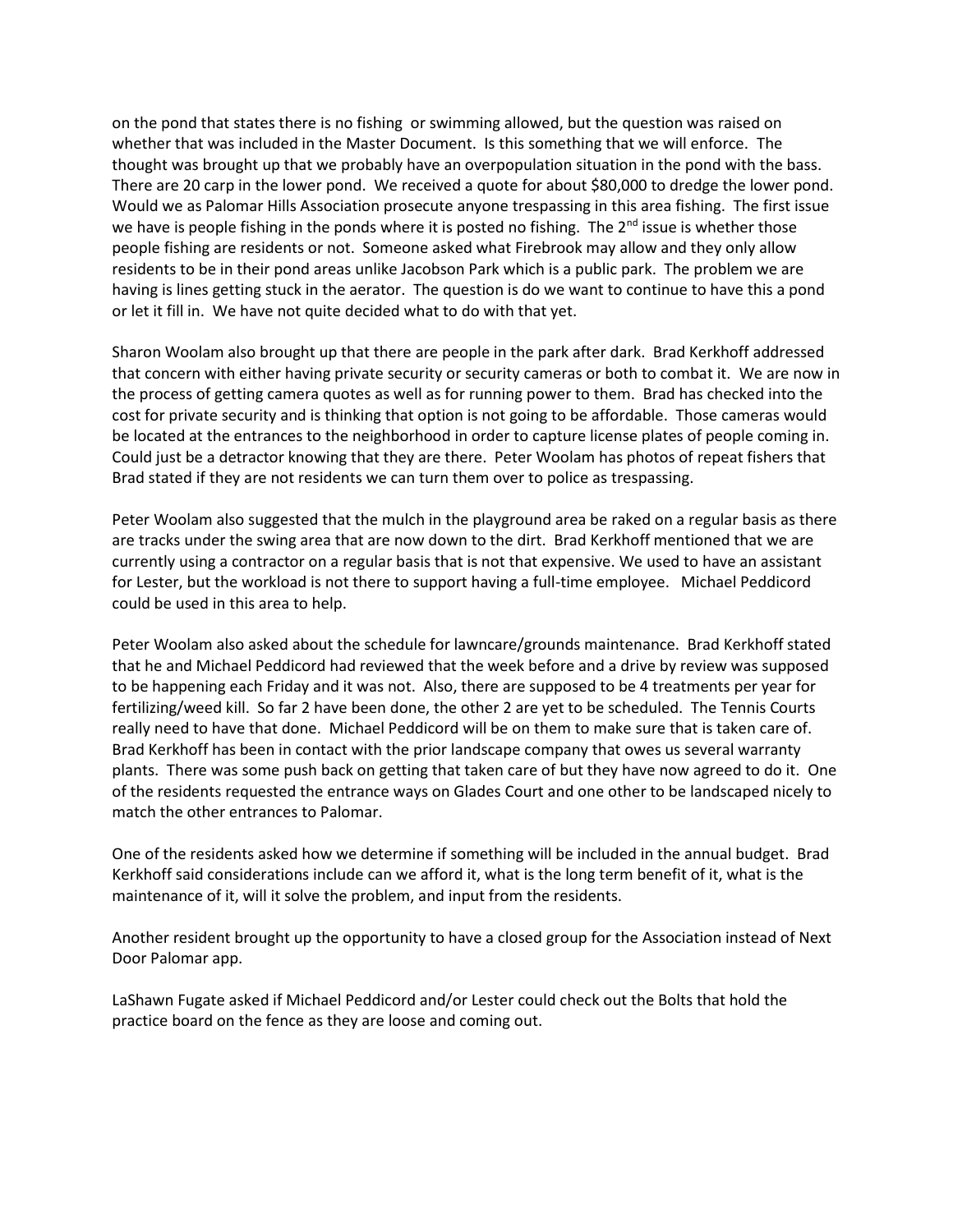on the pond that states there is no fishing or swimming allowed, but the question was raised on whether that was included in the Master Document. Is this something that we will enforce. The thought was brought up that we probably have an overpopulation situation in the pond with the bass. There are 20 carp in the lower pond. We received a quote for about \$80,000 to dredge the lower pond. Would we as Palomar Hills Association prosecute anyone trespassing in this area fishing. The first issue we have is people fishing in the ponds where it is posted no fishing. The 2<sup>nd</sup> issue is whether those people fishing are residents or not. Someone asked what Firebrook may allow and they only allow residents to be in their pond areas unlike Jacobson Park which is a public park. The problem we are having is lines getting stuck in the aerator. The question is do we want to continue to have this a pond or let it fill in. We have not quite decided what to do with that yet.

Sharon Woolam also brought up that there are people in the park after dark. Brad Kerkhoff addressed that concern with either having private security or security cameras or both to combat it. We are now in the process of getting camera quotes as well as for running power to them. Brad has checked into the cost for private security and is thinking that option is not going to be affordable. Those cameras would be located at the entrances to the neighborhood in order to capture license plates of people coming in. Could just be a detractor knowing that they are there. Peter Woolam has photos of repeat fishers that Brad stated if they are not residents we can turn them over to police as trespassing.

Peter Woolam also suggested that the mulch in the playground area be raked on a regular basis as there are tracks under the swing area that are now down to the dirt. Brad Kerkhoff mentioned that we are currently using a contractor on a regular basis that is not that expensive. We used to have an assistant for Lester, but the workload is not there to support having a full-time employee. Michael Peddicord could be used in this area to help.

Peter Woolam also asked about the schedule for lawncare/grounds maintenance. Brad Kerkhoff stated that he and Michael Peddicord had reviewed that the week before and a drive by review was supposed to be happening each Friday and it was not. Also, there are supposed to be 4 treatments per year for fertilizing/weed kill. So far 2 have been done, the other 2 are yet to be scheduled. The Tennis Courts really need to have that done. Michael Peddicord will be on them to make sure that is taken care of. Brad Kerkhoff has been in contact with the prior landscape company that owes us several warranty plants. There was some push back on getting that taken care of but they have now agreed to do it. One of the residents requested the entrance ways on Glades Court and one other to be landscaped nicely to match the other entrances to Palomar.

One of the residents asked how we determine if something will be included in the annual budget. Brad Kerkhoff said considerations include can we afford it, what is the long term benefit of it, what is the maintenance of it, will it solve the problem, and input from the residents.

Another resident brought up the opportunity to have a closed group for the Association instead of Next Door Palomar app.

LaShawn Fugate asked if Michael Peddicord and/or Lester could check out the Bolts that hold the practice board on the fence as they are loose and coming out.